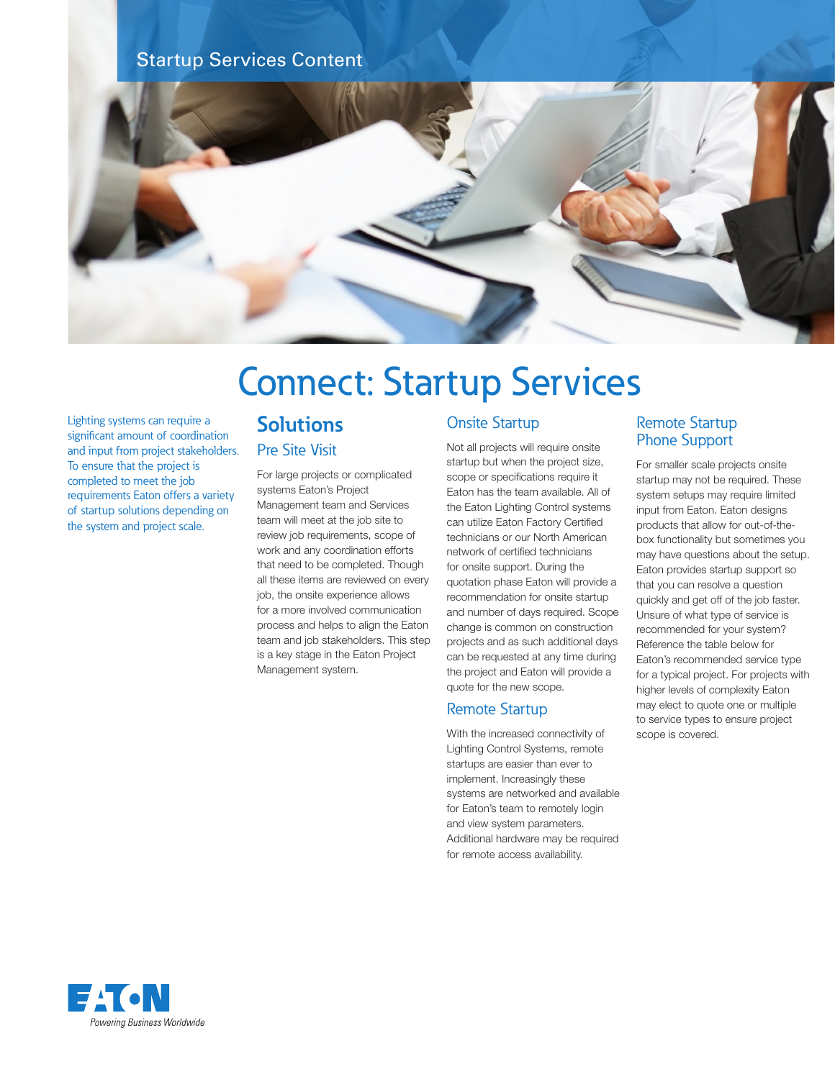### Startup Services Content



# Connect: Startup Services

Lighting systems can require a significant amount of coordination and input from project stakeholders. To ensure that the project is completed to meet the job requirements Eaton offers a variety of startup solutions depending on the system and project scale.

## **Solutions**

Pre Site Visit

For large projects or complicated systems Eaton's Project Management team and Services team will meet at the job site to review job requirements, scope of work and any coordination efforts that need to be completed. Though all these items are reviewed on every job, the onsite experience allows for a more involved communication process and helps to align the Eaton team and job stakeholders. This step is a key stage in the Eaton Project Management system.

#### Onsite Startup

Not all projects will require onsite startup but when the project size, scope or specifications require it Eaton has the team available. All of the Eaton Lighting Control systems can utilize Eaton Factory Certified technicians or our North American network of certified technicians for onsite support. During the quotation phase Eaton will provide a recommendation for onsite startup and number of days required. Scope change is common on construction projects and as such additional days can be requested at any time during the project and Eaton will provide a quote for the new scope.

#### Remote Startup

With the increased connectivity of Lighting Control Systems, remote startups are easier than ever to implement. Increasingly these systems are networked and available for Eaton's team to remotely login and view system parameters. Additional hardware may be required for remote access availability.

#### Remote Startup Phone Support

For smaller scale projects onsite startup may not be required. These system setups may require limited input from Eaton. Eaton designs products that allow for out-of-thebox functionality but sometimes you may have questions about the setup. Eaton provides startup support so that you can resolve a question quickly and get off of the job faster. Unsure of what type of service is recommended for your system? Reference the table below for Eaton's recommended service type for a typical project. For projects with higher levels of complexity Eaton may elect to quote one or multiple to service types to ensure project scope is covered.